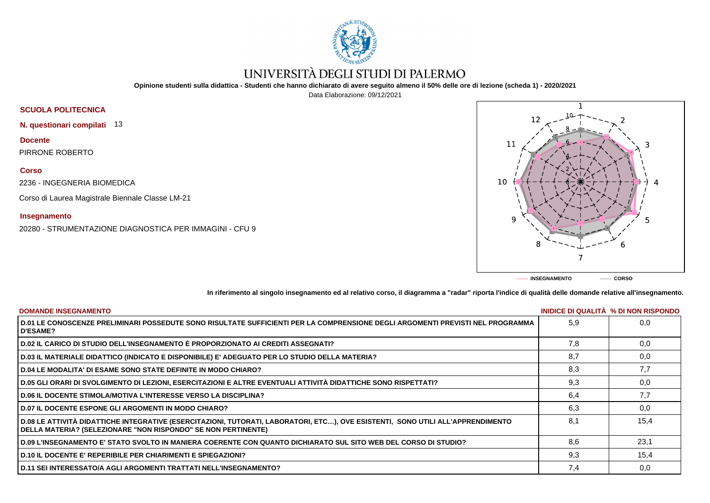

# UNIVERSITÀ DEGLI STUDI DI PALERMO

**Opinione studenti sulla didattica - Studenti che hanno dichiarato di avere seguito almeno il 50% delle ore di lezione (scheda 1) - 2020/2021**

Data Elaborazione: 09/12/2021

## **SCUOLA POLITECNICA**

**N. questionari compilati** 13

**Docente** PIRRONE ROBERTO

### **Corso**

2236 - INGEGNERIA BIOMEDICA

Corso di Laurea Magistrale Biennale Classe LM-21

### **Insegnamento**

20280 - STRUMENTAZIONE DIAGNOSTICA PER IMMAGINI - CFU 9



**In riferimento al singolo insegnamento ed al relativo corso, il diagramma a "radar" riporta l'indice di qualità delle domande relative all'insegnamento.**

| <b>DOMANDE INSEGNAMENTO</b>                                                                                                                                                                      |     | INIDICE DI QUALITA % DI NON RISPONDO |
|--------------------------------------------------------------------------------------------------------------------------------------------------------------------------------------------------|-----|--------------------------------------|
| D.01 LE CONOSCENZE PRELIMINARI POSSEDUTE SONO RISULTATE SUFFICIENTI PER LA COMPRENSIONE DEGLI ARGOMENTI PREVISTI NEL PROGRAMMA<br><b>D'ESAME?</b>                                                | 5.9 | 0,0                                  |
| D.02 IL CARICO DI STUDIO DELL'INSEGNAMENTO È PROPORZIONATO AI CREDITI ASSEGNATI?                                                                                                                 | 7.8 | 0.0                                  |
| D.03 IL MATERIALE DIDATTICO (INDICATO E DISPONIBILE) E' ADEGUATO PER LO STUDIO DELLA MATERIA?                                                                                                    | 8,7 | 0,0                                  |
| D.04 LE MODALITA' DI ESAME SONO STATE DEFINITE IN MODO CHIARO?                                                                                                                                   | 8,3 | 7,7                                  |
| D.05 GLI ORARI DI SVOLGIMENTO DI LEZIONI, ESERCITAZIONI E ALTRE EVENTUALI ATTIVITÀ DIDATTICHE SONO RISPETTATI?                                                                                   | 9,3 | 0,0                                  |
| <b>D.06 IL DOCENTE STIMOLA/MOTIVA L'INTERESSE VERSO LA DISCIPLINA?</b>                                                                                                                           | 6,4 | 7,7                                  |
| <b>D.07 IL DOCENTE ESPONE GLI ARGOMENTI IN MODO CHIARO?</b>                                                                                                                                      | 6.3 | 0,0                                  |
| D.08 LE ATTIVITÀ DIDATTICHE INTEGRATIVE (ESERCITAZIONI, TUTORATI, LABORATORI, ETC), OVE ESISTENTI, SONO UTILI ALL'APPRENDIMENTO<br>DELLA MATERIA? (SELEZIONARE "NON RISPONDO" SE NON PERTINENTE) | 8.1 | 15,4                                 |
| D.09 L'INSEGNAMENTO E' STATO SVOLTO IN MANIERA COERENTE CON QUANTO DICHIARATO SUL SITO WEB DEL CORSO DI STUDIO?                                                                                  | 8.6 | 23,1                                 |
| <b>D.10 IL DOCENTE E' REPERIBILE PER CHIARIMENTI E SPIEGAZIONI?</b>                                                                                                                              | 9,3 | 15,4                                 |
| D.11 SEI INTERESSATO/A AGLI ARGOMENTI TRATTATI NELL'INSEGNAMENTO?                                                                                                                                | 7,4 | 0,0                                  |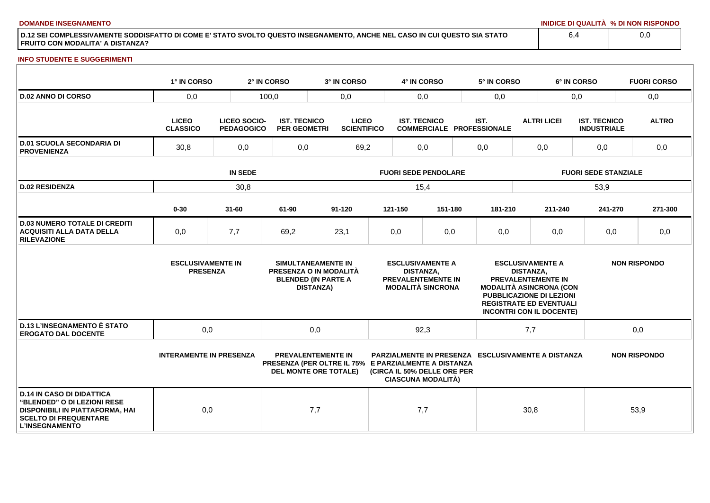**DOMANDE INSEGNAMENTO INIDICE DI QUALITÀ % DI NON RISPONDO**

**D.12 SEI COMPLESSIVAMENTE SODDISFATTO DI COME E' STATO SVOLTO QUESTO INSEGNAMENTO, ANCHE NEL CASO IN CUI QUESTO SIA STATO FRUITO CON MODALITA' A DISTANZA?**

#### **INFO STUDENTE E SUGGERIMENTI**

|                                                                                                                                                                    | 1° IN CORSO                                                          |           | 2° IN CORSO                                | 3° IN CORSO                                                                                                       |                             | 4° IN CORSO                                 |                                                          |                                          | 5° IN CORSO                                                                                                                            |                             |                                               | 6° IN CORSO                               |     | <b>FUORI CORSO</b>  |
|--------------------------------------------------------------------------------------------------------------------------------------------------------------------|----------------------------------------------------------------------|-----------|--------------------------------------------|-------------------------------------------------------------------------------------------------------------------|-----------------------------|---------------------------------------------|----------------------------------------------------------|------------------------------------------|----------------------------------------------------------------------------------------------------------------------------------------|-----------------------------|-----------------------------------------------|-------------------------------------------|-----|---------------------|
| <b>D.02 ANNO DI CORSO</b>                                                                                                                                          | 0,0                                                                  |           | 100,0<br>0,0                               |                                                                                                                   |                             | 0,0                                         |                                                          |                                          | 0,0                                                                                                                                    |                             | 0,0                                           |                                           |     | 0,0                 |
|                                                                                                                                                                    | <b>LICEO</b><br>LICEO SOCIO-<br><b>CLASSICO</b><br><b>PEDAGOGICO</b> |           | <b>IST. TECNICO</b><br><b>PER GEOMETRI</b> | <b>LICEO</b><br><b>SCIENTIFICO</b>                                                                                |                             | <b>IST. TECNICO</b>                         |                                                          | IST.<br><b>COMMERCIALE PROFESSIONALE</b> |                                                                                                                                        | <b>ALTRI LICEI</b>          |                                               | <b>IST. TECNICO</b><br><b>INDUSTRIALE</b> |     | <b>ALTRO</b>        |
| <b>D.01 SCUOLA SECONDARIA DI</b><br><b>PROVENIENZA</b>                                                                                                             | 0,0<br>30,8                                                          |           | 0,0                                        |                                                                                                                   | 0,0<br>69,2                 |                                             | 0,0                                                      |                                          | 0,0                                                                                                                                    |                             | 0,0                                           |                                           | 0,0 |                     |
|                                                                                                                                                                    | <b>IN SEDE</b>                                                       |           |                                            |                                                                                                                   | <b>FUORI SEDE PENDOLARE</b> |                                             |                                                          |                                          |                                                                                                                                        | <b>FUORI SEDE STANZIALE</b> |                                               |                                           |     |                     |
| <b>D.02 RESIDENZA</b>                                                                                                                                              |                                                                      | 30,8      |                                            |                                                                                                                   |                             | 15,4                                        |                                                          |                                          |                                                                                                                                        |                             |                                               | 53,9                                      |     |                     |
|                                                                                                                                                                    | $0 - 30$                                                             | $31 - 60$ | 61-90                                      | $91 - 120$                                                                                                        |                             | 121-150                                     | 151-180                                                  |                                          | 181-210                                                                                                                                |                             | 211-240                                       | 241-270                                   |     | 271-300             |
| <b>D.03 NUMERO TOTALE DI CREDITI</b><br><b>ACQUISITI ALLA DATA DELLA</b><br><b>RILEVAZIONE</b>                                                                     | 0,0                                                                  | 7,7       | 69,2                                       | 23,1                                                                                                              |                             | 0,0                                         | 0,0                                                      |                                          | 0,0                                                                                                                                    |                             | 0,0                                           | 0,0                                       |     | 0,0                 |
|                                                                                                                                                                    | <b>ESCLUSIVAMENTE IN</b><br><b>PRESENZA</b>                          |           |                                            | SIMULTANEAMENTE IN<br>PRESENZA O IN MODALITÀ<br><b>BLENDED (IN PARTE A</b><br><b>DISTANZA)</b>                    |                             | <b>ESCLUSIVAMENTE A</b><br><b>DISTANZA,</b> | PREVALENTEMENTE IN<br><b>MODALITÀ SINCRONA</b>           |                                          | <b>MODALITÀ ASINCRONA (CON</b><br><b>PUBBLICAZIONE DI LEZIONI</b><br><b>REGISTRATE ED EVENTUALI</b><br><b>INCONTRI CON IL DOCENTE)</b> | <b>DISTANZA,</b>            | <b>ESCLUSIVAMENTE A</b><br>PREVALENTEMENTE IN |                                           |     | <b>NON RISPONDO</b> |
| <b>D.13 L'INSEGNAMENTO È STATO</b><br><b>EROGATO DAL DOCENTE</b>                                                                                                   | 0,0                                                                  |           |                                            | 0,0                                                                                                               |                             | 92,3                                        |                                                          | 7,7                                      |                                                                                                                                        |                             | 0,0                                           |                                           |     |                     |
|                                                                                                                                                                    | <b>INTERAMENTE IN PRESENZA</b>                                       |           |                                            | <b>PREVALENTEMENTE IN</b><br>PRESENZA (PER OLTRE IL 75% E PARZIALMENTE A DISTANZA<br><b>DEL MONTE ORE TOTALE)</b> |                             |                                             | (CIRCA IL 50% DELLE ORE PER<br><b>CIASCUNA MODALITÀ)</b> |                                          | <b>PARZIALMENTE IN PRESENZA ESCLUSIVAMENTE A DISTANZA</b>                                                                              |                             |                                               |                                           |     | <b>NON RISPONDO</b> |
| <b>D.14 IN CASO DI DIDATTICA</b><br>"BLENDED" O DI LEZIONI RESE<br><b>DISPONIBILI IN PIATTAFORMA, HAI</b><br><b>SCELTO DI FREQUENTARE</b><br><b>L'INSEGNAMENTO</b> | 0,0                                                                  |           |                                            | 7,7                                                                                                               |                             | 7,7                                         |                                                          |                                          |                                                                                                                                        | 30,8                        |                                               |                                           |     | 53,9                |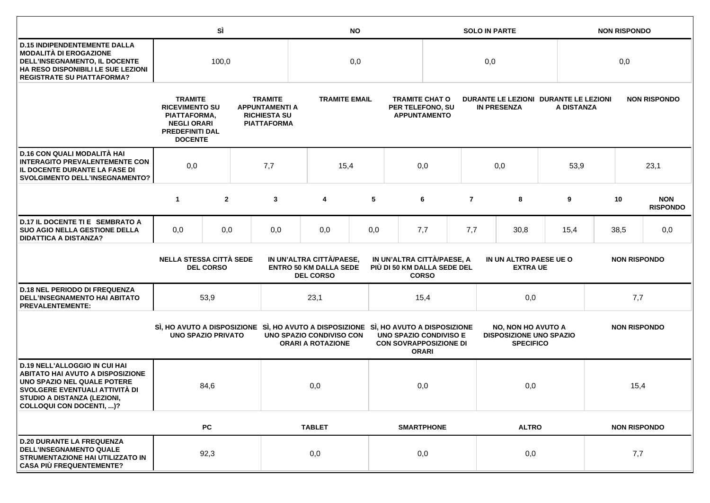|                                                                                                                                                                                                                    |                                                                                                                           | SÌ               |  | <b>NO</b>                                                                            |                                                                               |     |                                                                  |              | <b>SOLO IN PARTE</b> |                                                                                 |      |                     | <b>NON RISPONDO</b> |                               |  |
|--------------------------------------------------------------------------------------------------------------------------------------------------------------------------------------------------------------------|---------------------------------------------------------------------------------------------------------------------------|------------------|--|--------------------------------------------------------------------------------------|-------------------------------------------------------------------------------|-----|------------------------------------------------------------------|--------------|----------------------|---------------------------------------------------------------------------------|------|---------------------|---------------------|-------------------------------|--|
| <b>D.15 INDIPENDENTEMENTE DALLA</b><br>MODALITÀ DI EROGAZIONE<br>DELL'INSEGNAMENTO, IL DOCENTE<br>HA RESO DISPONIBILI LE SUE LEZIONI<br><b>REGISTRATE SU PIATTAFORMA?</b>                                          | 100,0                                                                                                                     |                  |  |                                                                                      | 0,0                                                                           |     |                                                                  |              | 0,0                  |                                                                                 |      |                     | 0,0                 |                               |  |
|                                                                                                                                                                                                                    | <b>TRAMITE</b><br><b>RICEVIMENTO SU</b><br>PIATTAFORMA,<br><b>NEGLI ORARI</b><br><b>PREDEFINITI DAL</b><br><b>DOCENTE</b> |                  |  | <b>TRAMITE</b><br><b>APPUNTAMENTI A</b><br><b>RICHIESTA SU</b><br><b>PIATTAFORMA</b> | <b>TRAMITE EMAIL</b>                                                          |     | <b>TRAMITE CHAT O</b><br>PER TELEFONO, SU<br><b>APPUNTAMENTO</b> |              |                      | DURANTE LE LEZIONI DURANTE LE LEZIONI<br><b>IN PRESENZA</b>                     |      | A DISTANZA          | <b>NON RISPONDO</b> |                               |  |
| D.16 CON QUALI MODALITÀ HAI<br><b>INTERAGITO PREVALENTEMENTE CON</b><br>IL DOCENTE DURANTE LA FASE DI<br><b>SVOLGIMENTO DELL'INSEGNAMENTO?</b>                                                                     | 0,0<br>7,7                                                                                                                |                  |  | 15,4                                                                                 |                                                                               | 0,0 |                                                                  |              | 0,0                  |                                                                                 | 53,9 | 23,1                |                     |                               |  |
|                                                                                                                                                                                                                    | $\mathbf{1}$                                                                                                              | $\overline{2}$   |  | 3                                                                                    | 4                                                                             | 5   |                                                                  | 6            | $\overline{7}$       | 8                                                                               |      | 9                   | 10                  | <b>NON</b><br><b>RISPONDO</b> |  |
| D.17 IL DOCENTE TI E SEMBRATO A<br><b>SUO AGIO NELLA GESTIONE DELLA</b><br><b>DIDATTICA A DISTANZA?</b>                                                                                                            | 0,0                                                                                                                       | 0,0              |  | 0,0                                                                                  | 0,0                                                                           | 0,0 |                                                                  | 7,7          | 7,7                  | 30,8                                                                            |      | 15,4                | 38,5                | 0,0                           |  |
|                                                                                                                                                                                                                    | <b>NELLA STESSA CITTÀ SEDE</b>                                                                                            | <b>DEL CORSO</b> |  |                                                                                      | IN UN'ALTRA CITTÀ/PAESE,<br><b>ENTRO 50 KM DALLA SEDE</b><br><b>DEL CORSO</b> |     | IN UN'ALTRA CITTÀ/PAESE, A<br>PIÙ DI 50 KM DALLA SEDE DEL        | <b>CORSO</b> |                      | IN UN ALTRO PAESE UE O<br><b>EXTRA UE</b>                                       |      |                     | <b>NON RISPONDO</b> |                               |  |
| <b>D.18 NEL PERIODO DI FREQUENZA</b><br>DELL'INSEGNAMENTO HAI ABITATO<br><b>PREVALENTEMENTE:</b>                                                                                                                   |                                                                                                                           | 53,9             |  |                                                                                      | 23,1                                                                          |     |                                                                  | 15,4         |                      | 0,0                                                                             |      | 7,7                 |                     |                               |  |
|                                                                                                                                                                                                                    | <b>UNO SPAZIO PRIVATO</b>                                                                                                 |                  |  | SI, HO AVUTO A DISPOSIZIONE SI, HO AVUTO A DISPOSIZIONE SI, HO AVUTO A DISPOSIZIONE  | UNO SPAZIO CONDIVISO CON<br><b>ORARI A ROTAZIONE</b>                          |     | <b>UNO SPAZIO CONDIVISO E</b><br><b>CON SOVRAPPOSIZIONE DI</b>   | <b>ORARI</b> |                      | <b>NO, NON HO AVUTO A</b><br><b>DISPOSIZIONE UNO SPAZIO</b><br><b>SPECIFICO</b> |      | <b>NON RISPONDO</b> |                     |                               |  |
| <b>D.19 NELL'ALLOGGIO IN CUI HAI</b><br><b>ABITATO HAI AVUTO A DISPOSIZIONE</b><br>UNO SPAZIO NEL QUALE POTERE<br>SVOLGERE EVENTUALI ATTIVITÀ DI<br>STUDIO A DISTANZA (LEZIONI,<br><b>COLLOQUI CON DOCENTI, )?</b> |                                                                                                                           | 84,6             |  |                                                                                      | 0,0                                                                           |     |                                                                  | 0,0          |                      | 0,0                                                                             |      | 15,4                |                     |                               |  |
|                                                                                                                                                                                                                    |                                                                                                                           | <b>PC</b>        |  |                                                                                      | <b>TABLET</b>                                                                 |     | <b>SMARTPHONE</b>                                                |              |                      | <b>ALTRO</b>                                                                    |      | <b>NON RISPONDO</b> |                     |                               |  |
| <b>D.20 DURANTE LA FREQUENZA</b><br><b>DELL'INSEGNAMENTO QUALE</b><br>STRUMENTAZIONE HAI UTILIZZATO IN<br><b>CASA PIÙ FREQUENTEMENTE?</b>                                                                          |                                                                                                                           | 92,3             |  |                                                                                      | 0,0                                                                           |     | 0,0                                                              |              |                      | 0,0                                                                             |      |                     | 7,7                 |                               |  |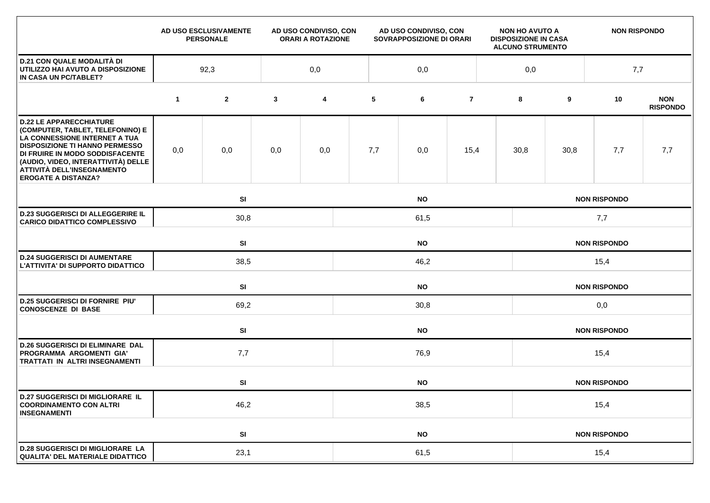|                                                                                                                                                                                                                                                                                    |             | AD USO ESCLUSIVAMENTE<br><b>PERSONALE</b> | AD USO CONDIVISO, CON<br><b>ORARI A ROTAZIONE</b> |     | AD USO CONDIVISO, CON<br>SOVRAPPOSIZIONE DI ORARI |           |                | <b>NON HO AVUTO A</b><br><b>DISPOSIZIONE IN CASA</b><br><b>ALCUNO STRUMENTO</b> |                     | <b>NON RISPONDO</b> |                     |                               |  |  |  |
|------------------------------------------------------------------------------------------------------------------------------------------------------------------------------------------------------------------------------------------------------------------------------------|-------------|-------------------------------------------|---------------------------------------------------|-----|---------------------------------------------------|-----------|----------------|---------------------------------------------------------------------------------|---------------------|---------------------|---------------------|-------------------------------|--|--|--|
| <b>D.21 CON QUALE MODALITÀ DI</b><br>UTILIZZO HAI AVUTO A DISPOSIZIONE<br>IN CASA UN PC/TABLET?                                                                                                                                                                                    |             | 92,3                                      |                                                   | 0,0 |                                                   | 0,0       |                |                                                                                 | 0,0                 |                     | 7,7                 |                               |  |  |  |
|                                                                                                                                                                                                                                                                                    | $\mathbf 1$ | $\mathbf{2}$                              | $\mathbf{3}$                                      | 4   | 5                                                 | 6         | $\overline{7}$ |                                                                                 | 8                   | 9                   | 10                  | <b>NON</b><br><b>RISPONDO</b> |  |  |  |
| <b>D.22 LE APPARECCHIATURE</b><br>(COMPUTER, TABLET, TELEFONINO) E<br>LA CONNESSIONE INTERNET A TUA<br><b>DISPOSIZIONE TI HANNO PERMESSO</b><br>DI FRUIRE IN MODO SODDISFACENTE<br>(AUDIO, VIDEO, INTERATTIVITÀ) DELLE<br>ATTIVITÀ DELL'INSEGNAMENTO<br><b>EROGATE A DISTANZA?</b> | 0,0         | 0,0                                       | 0,0                                               | 0,0 | 7,7                                               | 0,0       | 15,4           |                                                                                 | 30,8                | 30,8                | 7,7                 | 7,7                           |  |  |  |
|                                                                                                                                                                                                                                                                                    |             | SI                                        |                                                   |     |                                                   | <b>NO</b> |                |                                                                                 | <b>NON RISPONDO</b> |                     |                     |                               |  |  |  |
| <b>D.23 SUGGERISCI DI ALLEGGERIRE IL</b><br><b>CARICO DIDATTICO COMPLESSIVO</b>                                                                                                                                                                                                    |             | 30,8<br>61,5                              |                                                   |     |                                                   |           |                |                                                                                 | 7,7                 |                     |                     |                               |  |  |  |
|                                                                                                                                                                                                                                                                                    |             | SI<br><b>NO</b>                           |                                                   |     |                                                   |           |                |                                                                                 | <b>NON RISPONDO</b> |                     |                     |                               |  |  |  |
| <b>D.24 SUGGERISCI DI AUMENTARE</b><br>L'ATTIVITA' DI SUPPORTO DIDATTICO                                                                                                                                                                                                           |             | 38,5                                      |                                                   |     | 46,2                                              |           |                |                                                                                 |                     | 15,4                |                     |                               |  |  |  |
|                                                                                                                                                                                                                                                                                    |             | <b>SI</b>                                 |                                                   |     | <b>NO</b><br><b>NON RISPONDO</b>                  |           |                |                                                                                 |                     |                     |                     |                               |  |  |  |
| <b>D.25 SUGGERISCI DI FORNIRE PIU'</b><br><b>CONOSCENZE DI BASE</b>                                                                                                                                                                                                                |             | 69,2                                      |                                                   |     | 30,8                                              |           |                |                                                                                 |                     | 0,0                 |                     |                               |  |  |  |
|                                                                                                                                                                                                                                                                                    |             | SI                                        |                                                   |     | <b>NO</b>                                         |           |                |                                                                                 |                     |                     | <b>NON RISPONDO</b> |                               |  |  |  |
| <b>D.26 SUGGERISCI DI ELIMINARE DAL</b><br>PROGRAMMA ARGOMENTI GIA'<br><b>TRATTATI IN ALTRI INSEGNAMENTI</b>                                                                                                                                                                       |             | 7,7                                       |                                                   |     | 76,9                                              |           |                |                                                                                 |                     | 15,4                |                     |                               |  |  |  |
|                                                                                                                                                                                                                                                                                    |             | SI                                        |                                                   |     |                                                   | <b>NO</b> |                |                                                                                 |                     |                     | <b>NON RISPONDO</b> |                               |  |  |  |
| <b>D.27 SUGGERISCI DI MIGLIORARE IL</b><br><b>COORDINAMENTO CON ALTRI</b><br><b>INSEGNAMENTI</b>                                                                                                                                                                                   | 46,2        |                                           |                                                   |     | 38,5                                              |           |                |                                                                                 |                     | 15,4                |                     |                               |  |  |  |
|                                                                                                                                                                                                                                                                                    |             | SI                                        |                                                   |     |                                                   | <b>NO</b> |                |                                                                                 |                     |                     | <b>NON RISPONDO</b> |                               |  |  |  |
| <b>D.28 SUGGERISCI DI MIGLIORARE LA</b><br><b>QUALITA' DEL MATERIALE DIDATTICO</b>                                                                                                                                                                                                 |             | 23,1                                      |                                                   |     | 61,5                                              |           |                |                                                                                 |                     | 15,4                |                     |                               |  |  |  |